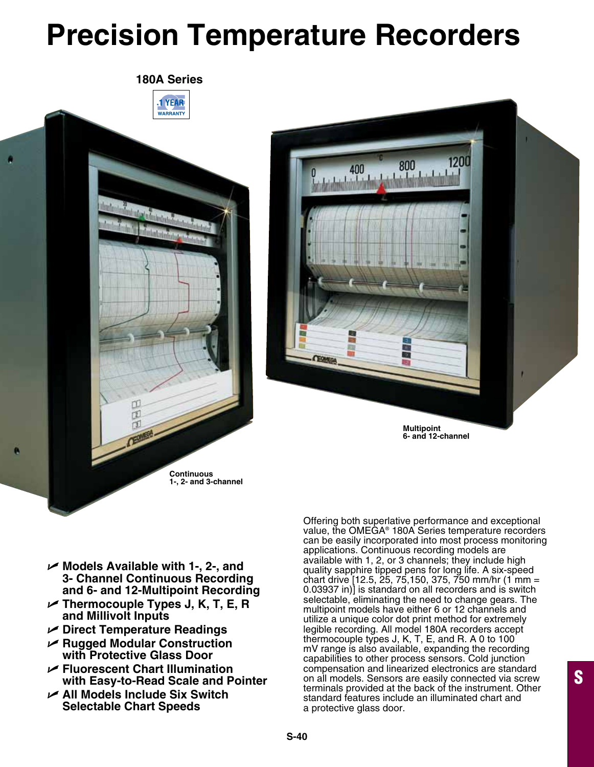# **Precision Temperature Recorders**





- U **Models Available with 1-, 2-, and 3- Channel Continuous Recording and 6- and 12-Multipoint Recording**
- U **Thermocouple Types J, K, T, E, R and Millivolt Inputs**
- U **Direct Temperature Readings**
- U **Rugged Modular Construction with Protective Glass Door**
- U **Fluorescent Chart Illumination with Easy-to-Read Scale and Pointer**
- U **All Models Include Six Switch Selectable Chart Speeds**

Offering both superlative performance and exceptional value, the OMEGA® 180A Series temperature recorders can be easily incorporated into most process monitoring applications. Continuous recording models are available with 1, 2, or 3 channels; they include high quality sapphire tipped pens for long life. A six-speed chart drive [12.5, 25, 75,150, 375, 750 mm/hr (1 mm = 0.03937 in)] is standard on all recorders and is switch selectable, eliminating the need to change gears. The multipoint models have either 6 or 12 channels and utilize a unique color dot print method for extremely legible recording. All model 180A recorders accept thermocouple types J, K, T, E, and R. A 0 to 100 mV range is also available, expanding the recording capabilities to other process sensors. Cold junction compensation and linearized electronics are standard on all models. Sensors are easily connected via screw terminals provided at the back of the instrument. Other standard features include an illuminated chart and a protective glass door.

S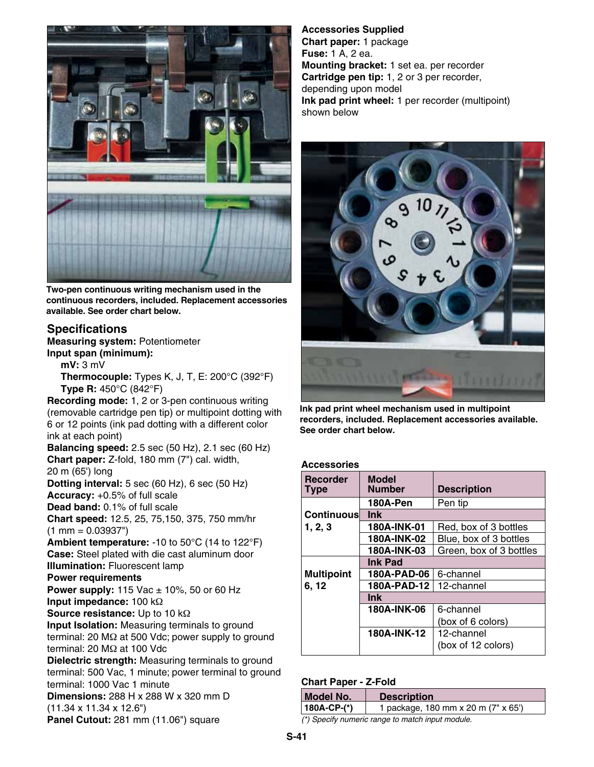

**Two-pen continuous writing mechanism used in the continuous recorders, included. Replacement accessories available. See order chart below.**

### **Specifications**

**Measuring system:** Potentiometer **Input span (minimum):**

 **mV:** 3 mV **Thermocouple:** Types K, J, T, E: 200°C (392°F) **Type R:** 450°C (842°F)

**Recording mode:** 1, 2 or 3-pen continuous writing (removable cartridge pen tip) or multipoint dotting with 6 or 12 points (ink pad dotting with a different color ink at each point)

**Balancing speed:** 2.5 sec (50 Hz), 2.1 sec (60 Hz) **Chart paper:** Z-fold, 180 mm (7") cal. width, 20 m (65') long **Dotting interval:** 5 sec (60 Hz), 6 sec (50 Hz) **Accuracy:** +0.5% of full scale

**Dead band:** 0.1% of full scale

**Chart speed:** 12.5, 25, 75,150, 375, 750 mm/hr  $(1 \text{ mm} = 0.03937")$ 

**Ambient temperature:** -10 to 50°C (14 to 122°F) **Case:** Steel plated with die cast aluminum door **Illumination:** Fluorescent lamp

**Power requirements**

**Power supply:** 115 Vac  $\pm$  10%, 50 or 60 Hz **Input impedance:** 100 kΩ

**Source resistance:** Up to 10 kΩ

**Input Isolation:** Measuring terminals to ground terminal: 20 MΩ at 500 Vdc; power supply to ground terminal: 20 MΩ at 100 Vdc

**Dielectric strength:** Measuring terminals to ground terminal: 500 Vac, 1 minute; power terminal to ground terminal: 1000 Vac 1 minute

**Dimensions:** 288 H x 288 W x 320 mm D (11.34 x 11.34 x 12.6")

**Panel Cutout:** 281 mm (11.06") square

**Accessories Supplied Chart paper:** 1 package **Fuse:** 1 A, 2 ea. **Mounting bracket:** 1 set ea. per recorder **Cartridge pen tip:** 1, 2 or 3 per recorder, depending upon model **Ink pad print wheel:** 1 per recorder (multipoint) shown below



**Ink pad print wheel mechanism used in multipoint recorders, included. Replacement accessories available. See order chart below.**

#### **Accessories**

| <b>Recorder</b><br>Type | <b>Model</b><br><b>Number</b> | <b>Description</b>      |
|-------------------------|-------------------------------|-------------------------|
|                         | 180A-Pen                      | Pen tip                 |
| Continuous              | <b>Ink</b>                    |                         |
| 1, 2, 3                 | 180A-INK-01                   | Red, box of 3 bottles   |
|                         | 180A-INK-02                   | Blue, box of 3 bottles  |
|                         | 180A-INK-03                   | Green, box of 3 bottles |
|                         | <b>Ink Pad</b>                |                         |
| <b>Multipoint</b>       | 180A-PAD-06                   | 6-channel               |
| 6, 12                   | 180A-PAD-12                   | 12-channel              |
|                         | <b>Ink</b>                    |                         |
|                         | 180A-INK-06                   | 6-channel               |
|                         |                               | (box of 6 colors)       |
|                         | 180A-INK-12                   | 12-channel              |
|                         |                               | (box of 12 colors)      |

#### **Chart Paper - Z-Fold**

| Model No.                                        | <b>Description</b>                  |  |
|--------------------------------------------------|-------------------------------------|--|
| $ 180A-CP-(*) $                                  | 1 package, 180 mm x 20 m (7" x 65") |  |
| (*) Specify numeric range to match input module. |                                     |  |